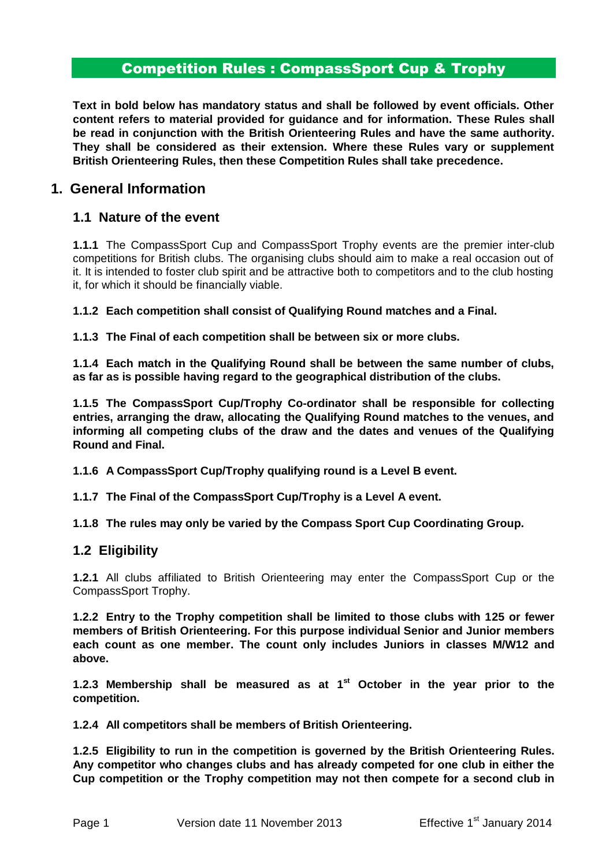**Text in bold below has mandatory status and shall be followed by event officials. Other content refers to material provided for guidance and for information. These Rules shall be read in conjunction with the British Orienteering Rules and have the same authority. They shall be considered as their extension. Where these Rules vary or supplement British Orienteering Rules, then these Competition Rules shall take precedence.**

# **1. General Information**

## **1.1 Nature of the event**

**1.1.1** The CompassSport Cup and CompassSport Trophy events are the premier inter-club competitions for British clubs. The organising clubs should aim to make a real occasion out of it. It is intended to foster club spirit and be attractive both to competitors and to the club hosting it, for which it should be financially viable.

**1.1.2 Each competition shall consist of Qualifying Round matches and a Final.** 

**1.1.3 The Final of each competition shall be between six or more clubs.** 

**1.1.4 Each match in the Qualifying Round shall be between the same number of clubs, as far as is possible having regard to the geographical distribution of the clubs.**

**1.1.5 The CompassSport Cup/Trophy Co-ordinator shall be responsible for collecting entries, arranging the draw, allocating the Qualifying Round matches to the venues, and informing all competing clubs of the draw and the dates and venues of the Qualifying Round and Final.**

**1.1.6 A CompassSport Cup/Trophy qualifying round is a Level B event.**

**1.1.7 The Final of the CompassSport Cup/Trophy is a Level A event.**

**1.1.8 The rules may only be varied by the Compass Sport Cup Coordinating Group.**

## **1.2 Eligibility**

**1.2.1** All clubs affiliated to British Orienteering may enter the CompassSport Cup or the CompassSport Trophy.

**1.2.2 Entry to the Trophy competition shall be limited to those clubs with 125 or fewer members of British Orienteering. For this purpose individual Senior and Junior members each count as one member. The count only includes Juniors in classes M/W12 and above.**

1.2.3 Membership shall be measured as at 1<sup>st</sup> October in the year prior to the **competition.**

**1.2.4 All competitors shall be members of British Orienteering.**

**1.2.5 Eligibility to run in the competition is governed by the British Orienteering Rules. Any competitor who changes clubs and has already competed for one club in either the Cup competition or the Trophy competition may not then compete for a second club in**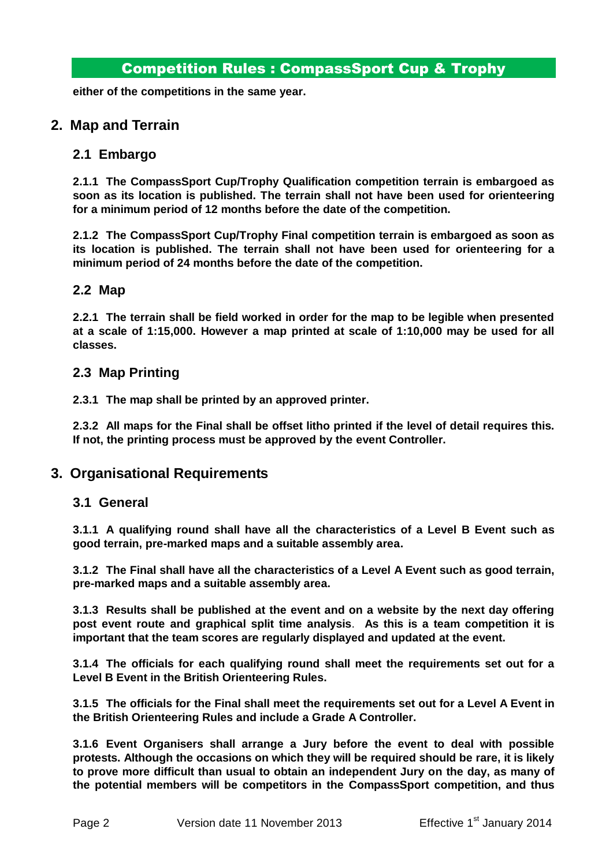**either of the competitions in the same year.**

## **2. Map and Terrain**

### **2.1 Embargo**

**2.1.1 The CompassSport Cup/Trophy Qualification competition terrain is embargoed as soon as its location is published. The terrain shall not have been used for orienteering for a minimum period of 12 months before the date of the competition.**

**2.1.2 The CompassSport Cup/Trophy Final competition terrain is embargoed as soon as its location is published. The terrain shall not have been used for orienteering for a minimum period of 24 months before the date of the competition.**

### **2.2 Map**

**2.2.1 The terrain shall be field worked in order for the map to be legible when presented at a scale of 1:15,000. However a map printed at scale of 1:10,000 may be used for all classes.**

## **2.3 Map Printing**

**2.3.1 The map shall be printed by an approved printer.**

**2.3.2 All maps for the Final shall be offset litho printed if the level of detail requires this. If not, the printing process must be approved by the event Controller.**

## **3. Organisational Requirements**

### **3.1 General**

**3.1.1 A qualifying round shall have all the characteristics of a Level B Event such as good terrain, pre-marked maps and a suitable assembly area.**

**3.1.2 The Final shall have all the characteristics of a Level A Event such as good terrain, pre-marked maps and a suitable assembly area.**

**3.1.3 Results shall be published at the event and on a website by the next day offering post event route and graphical split time analysis**. **As this is a team competition it is important that the team scores are regularly displayed and updated at the event.**

**3.1.4 The officials for each qualifying round shall meet the requirements set out for a Level B Event in the British Orienteering Rules.**

**3.1.5 The officials for the Final shall meet the requirements set out for a Level A Event in the British Orienteering Rules and include a Grade A Controller.**

**3.1.6 Event Organisers shall arrange a Jury before the event to deal with possible protests. Although the occasions on which they will be required should be rare, it is likely to prove more difficult than usual to obtain an independent Jury on the day, as many of the potential members will be competitors in the CompassSport competition, and thus**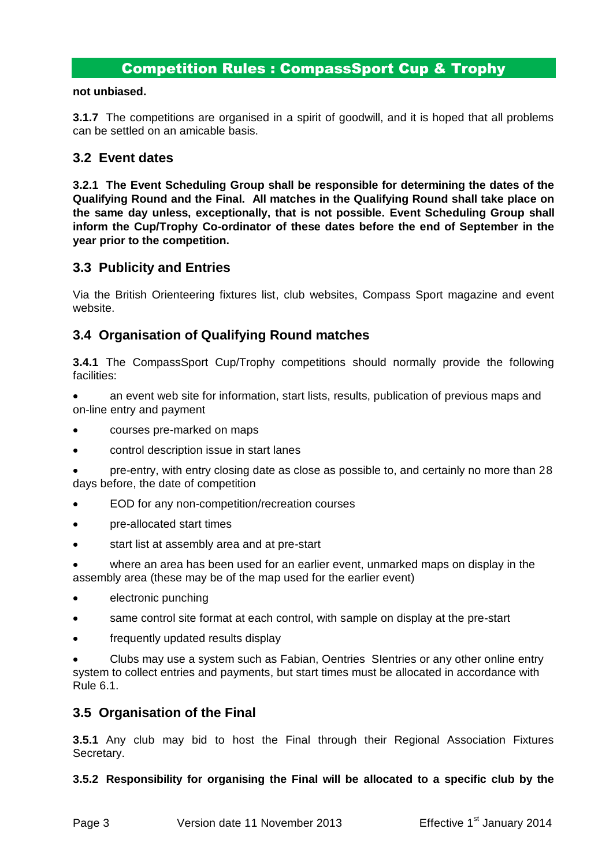#### **not unbiased.**

**3.1.7** The competitions are organised in a spirit of goodwill, and it is hoped that all problems can be settled on an amicable basis.

### **3.2 Event dates**

**3.2.1 The Event Scheduling Group shall be responsible for determining the dates of the Qualifying Round and the Final. All matches in the Qualifying Round shall take place on the same day unless, exceptionally, that is not possible. Event Scheduling Group shall inform the Cup/Trophy Co-ordinator of these dates before the end of September in the year prior to the competition.** 

## **3.3 Publicity and Entries**

Via the British Orienteering fixtures list, club websites, Compass Sport magazine and event website.

## **3.4 Organisation of Qualifying Round matches**

**3.4.1** The CompassSport Cup/Trophy competitions should normally provide the following facilities:

 an event web site for information, start lists, results, publication of previous maps and on-line entry and payment

- courses pre-marked on maps
- control description issue in start lanes

 pre-entry, with entry closing date as close as possible to, and certainly no more than 28 days before, the date of competition

- EOD for any non-competition/recreation courses
- pre-allocated start times
- start list at assembly area and at pre-start

 where an area has been used for an earlier event, unmarked maps on display in the assembly area (these may be of the map used for the earlier event)

- electronic punching
- same control site format at each control, with sample on display at the pre-start
- frequently updated results display

 Clubs may use a system such as Fabian, Oentries SIentries or any other online entry system to collect entries and payments, but start times must be allocated in accordance with Rule 6.1.

## **3.5 Organisation of the Final**

**3.5.1** Any club may bid to host the Final through their Regional Association Fixtures Secretary.

#### **3.5.2 Responsibility for organising the Final will be allocated to a specific club by the**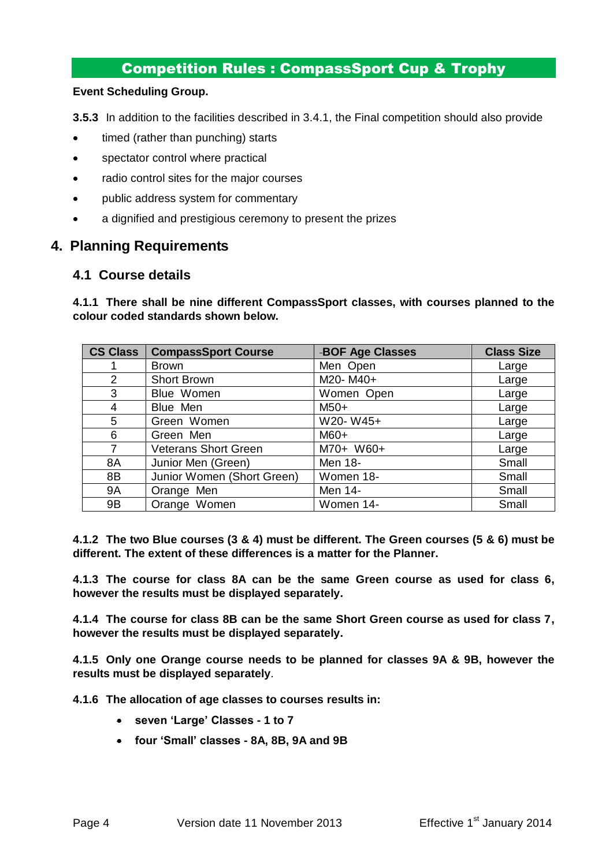### **Event Scheduling Group.**

**3.5.3** In addition to the facilities described in 3.4.1, the Final competition should also provide

- timed (rather than punching) starts
- spectator control where practical
- radio control sites for the major courses
- public address system for commentary
- a dignified and prestigious ceremony to present the prizes

## **4. Planning Requirements**

## **4.1 Course details**

**4.1.1 There shall be nine different CompassSport classes, with courses planned to the colour coded standards shown below.**

| <b>CS Class</b> | <b>CompassSport Course</b>  | -BOF Age Classes | <b>Class Size</b> |
|-----------------|-----------------------------|------------------|-------------------|
|                 | <b>Brown</b>                | Men Open         | Large             |
| 2               | <b>Short Brown</b>          | M20-M40+         | Large             |
| 3               | Blue Women                  | Women Open       | Large             |
| 4               | Blue Men                    | $M50+$           | Large             |
| 5               | Green Women                 | W20-W45+         | Large             |
| 6               | Green Men                   | $M60+$           | Large             |
| 7               | <b>Veterans Short Green</b> | M70+ W60+        | Large             |
| 8A              | Junior Men (Green)          | Men 18-          | Small             |
| 8B              | Junior Women (Short Green)  | Women 18-        | Small             |
| <b>9A</b>       | Orange Men                  | Men 14-          | Small             |
| 9B              | Orange Women                | Women 14-        | Small             |

**4.1.2 The two Blue courses (3 & 4) must be different. The Green courses (5 & 6) must be different. The extent of these differences is a matter for the Planner.**

**4.1.3 The course for class 8A can be the same Green course as used for class 6, however the results must be displayed separately.**

**4.1.4 The course for class 8B can be the same Short Green course as used for class 7, however the results must be displayed separately.**

**4.1.5 Only one Orange course needs to be planned for classes 9A & 9B, however the results must be displayed separately**.

**4.1.6 The allocation of age classes to courses results in:**

- **seven 'Large' Classes - 1 to 7**
- **four 'Small' classes - 8A, 8B, 9A and 9B**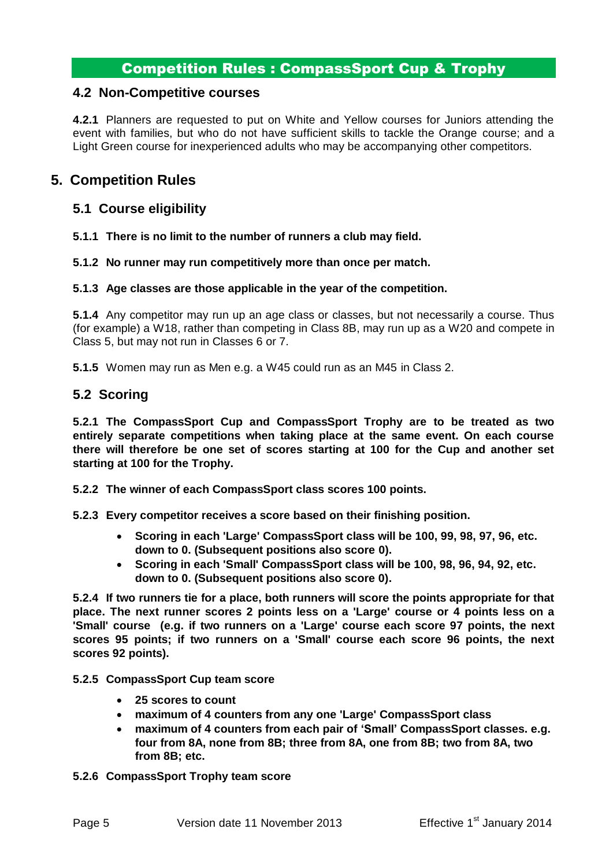### **4.2 Non-Competitive courses**

**4.2.1** Planners are requested to put on White and Yellow courses for Juniors attending the event with families, but who do not have sufficient skills to tackle the Orange course; and a Light Green course for inexperienced adults who may be accompanying other competitors.

## **5. Competition Rules**

## **5.1 Course eligibility**

**5.1.1 There is no limit to the number of runners a club may field.**

**5.1.2 No runner may run competitively more than once per match.**

#### **5.1.3 Age classes are those applicable in the year of the competition.**

**5.1.4** Any competitor may run up an age class or classes, but not necessarily a course. Thus (for example) a W18, rather than competing in Class 8B, may run up as a W20 and compete in Class 5, but may not run in Classes 6 or 7.

**5.1.5** Women may run as Men e.g. a W45 could run as an M45 in Class 2.

### **5.2 Scoring**

**5.2.1 The CompassSport Cup and CompassSport Trophy are to be treated as two entirely separate competitions when taking place at the same event. On each course there will therefore be one set of scores starting at 100 for the Cup and another set starting at 100 for the Trophy.**

**5.2.2 The winner of each CompassSport class scores 100 points.**

**5.2.3 Every competitor receives a score based on their finishing position.**

- **Scoring in each 'Large' CompassSport class will be 100, 99, 98, 97, 96, etc. down to 0. (Subsequent positions also score 0).**
- **Scoring in each 'Small' CompassSport class will be 100, 98, 96, 94, 92, etc. down to 0. (Subsequent positions also score 0).**

**5.2.4 If two runners tie for a place, both runners will score the points appropriate for that place. The next runner scores 2 points less on a 'Large' course or 4 points less on a 'Small' course (e.g. if two runners on a 'Large' course each score 97 points, the next scores 95 points; if two runners on a 'Small' course each score 96 points, the next scores 92 points).**

#### **5.2.5 CompassSport Cup team score**

- **25 scores to count**
- **maximum of 4 counters from any one 'Large' CompassSport class**
- **maximum of 4 counters from each pair of 'Small' CompassSport classes. e.g. four from 8A, none from 8B; three from 8A, one from 8B; two from 8A, two from 8B; etc.**

#### **5.2.6 CompassSport Trophy team score**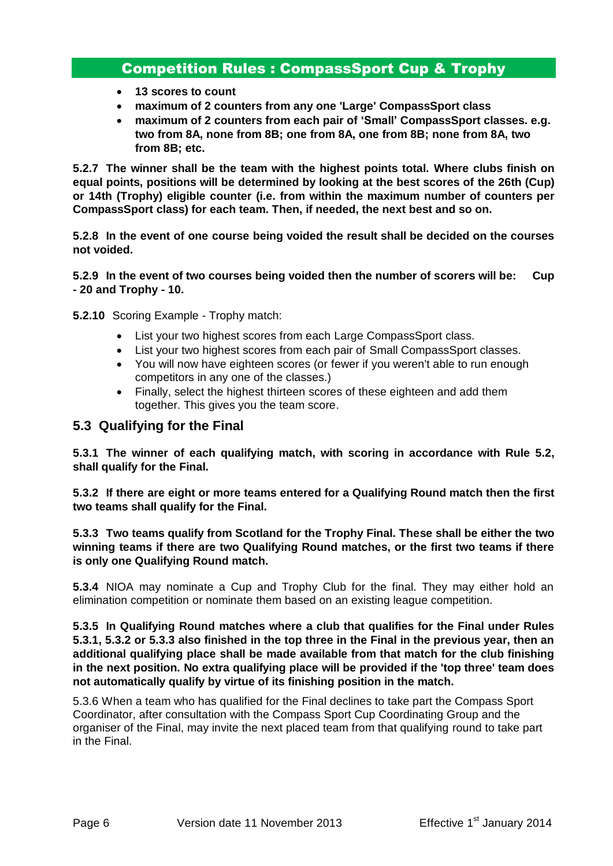- **13 scores to count**
- **maximum of 2 counters from any one 'Large' CompassSport class**
- **maximum of 2 counters from each pair of 'Small' CompassSport classes. e.g. two from 8A, none from 8B; one from 8A, one from 8B; none from 8A, two from 8B; etc.**

**5.2.7 The winner shall be the team with the highest points total. Where clubs finish on equal points, positions will be determined by looking at the best scores of the 26th (Cup) or 14th (Trophy) eligible counter (i.e. from within the maximum number of counters per CompassSport class) for each team. Then, if needed, the next best and so on.**

**5.2.8 In the event of one course being voided the result shall be decided on the courses not voided.**

**5.2.9 In the event of two courses being voided then the number of scorers will be: Cup - 20 and Trophy - 10.**

**5.2.10** Scoring Example - Trophy match:

- List your two highest scores from each Large CompassSport class.
- List your two highest scores from each pair of Small CompassSport classes.
- You will now have eighteen scores (or fewer if you weren't able to run enough competitors in any one of the classes.)
- Finally, select the highest thirteen scores of these eighteen and add them together. This gives you the team score.

## **5.3 Qualifying for the Final**

**5.3.1 The winner of each qualifying match, with scoring in accordance with Rule 5.2, shall qualify for the Final.** 

**5.3.2 If there are eight or more teams entered for a Qualifying Round match then the first two teams shall qualify for the Final.**

**5.3.3 Two teams qualify from Scotland for the Trophy Final. These shall be either the two winning teams if there are two Qualifying Round matches, or the first two teams if there is only one Qualifying Round match.** 

**5.3.4** NIOA may nominate a Cup and Trophy Club for the final. They may either hold an elimination competition or nominate them based on an existing league competition.

**5.3.5 In Qualifying Round matches where a club that qualifies for the Final under Rules 5.3.1, 5.3.2 or 5.3.3 also finished in the top three in the Final in the previous year, then an additional qualifying place shall be made available from that match for the club finishing in the next position. No extra qualifying place will be provided if the 'top three' team does not automatically qualify by virtue of its finishing position in the match.**

5.3.6 When a team who has qualified for the Final declines to take part the Compass Sport Coordinator, after consultation with the Compass Sport Cup Coordinating Group and the organiser of the Final, may invite the next placed team from that qualifying round to take part in the Final.